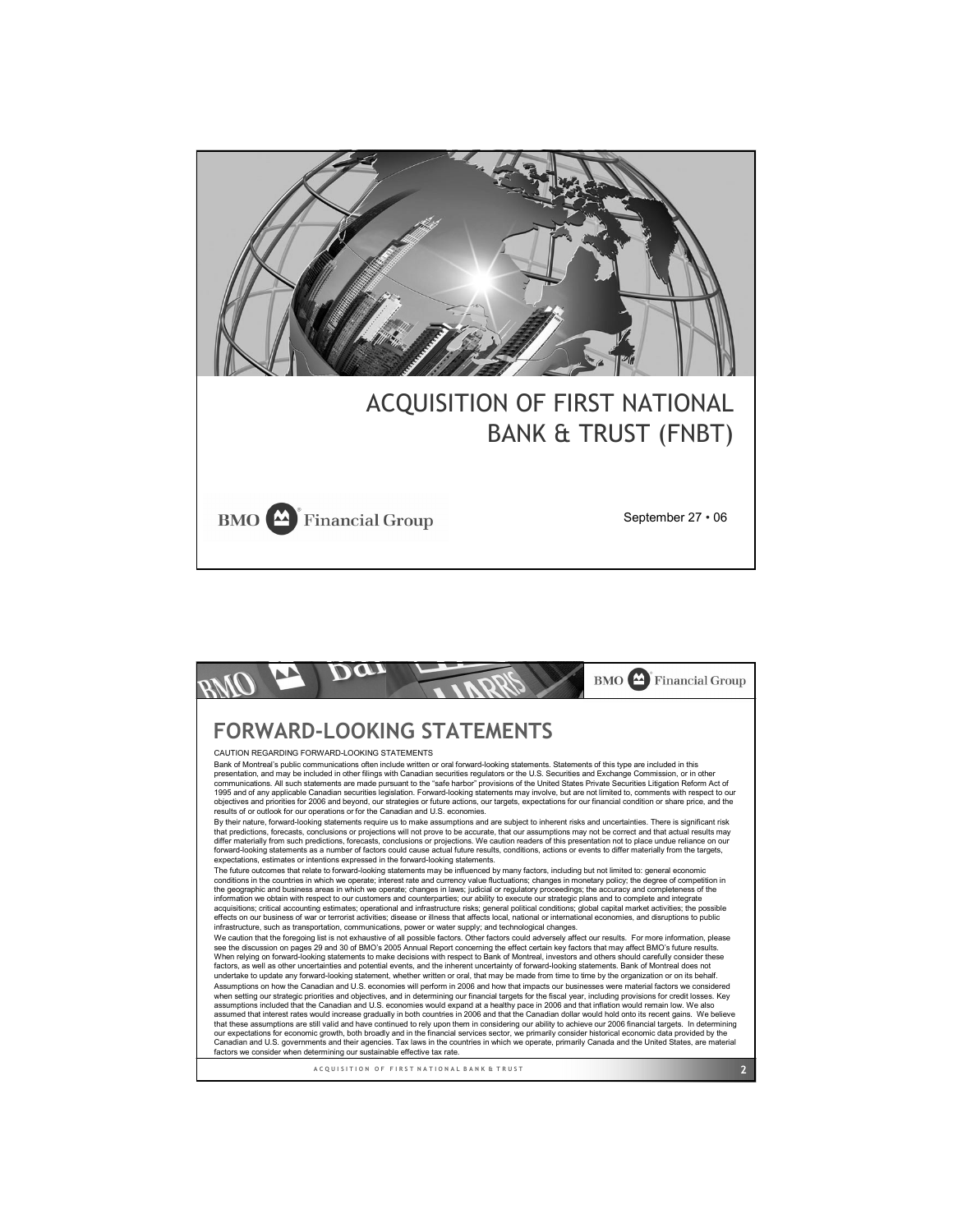

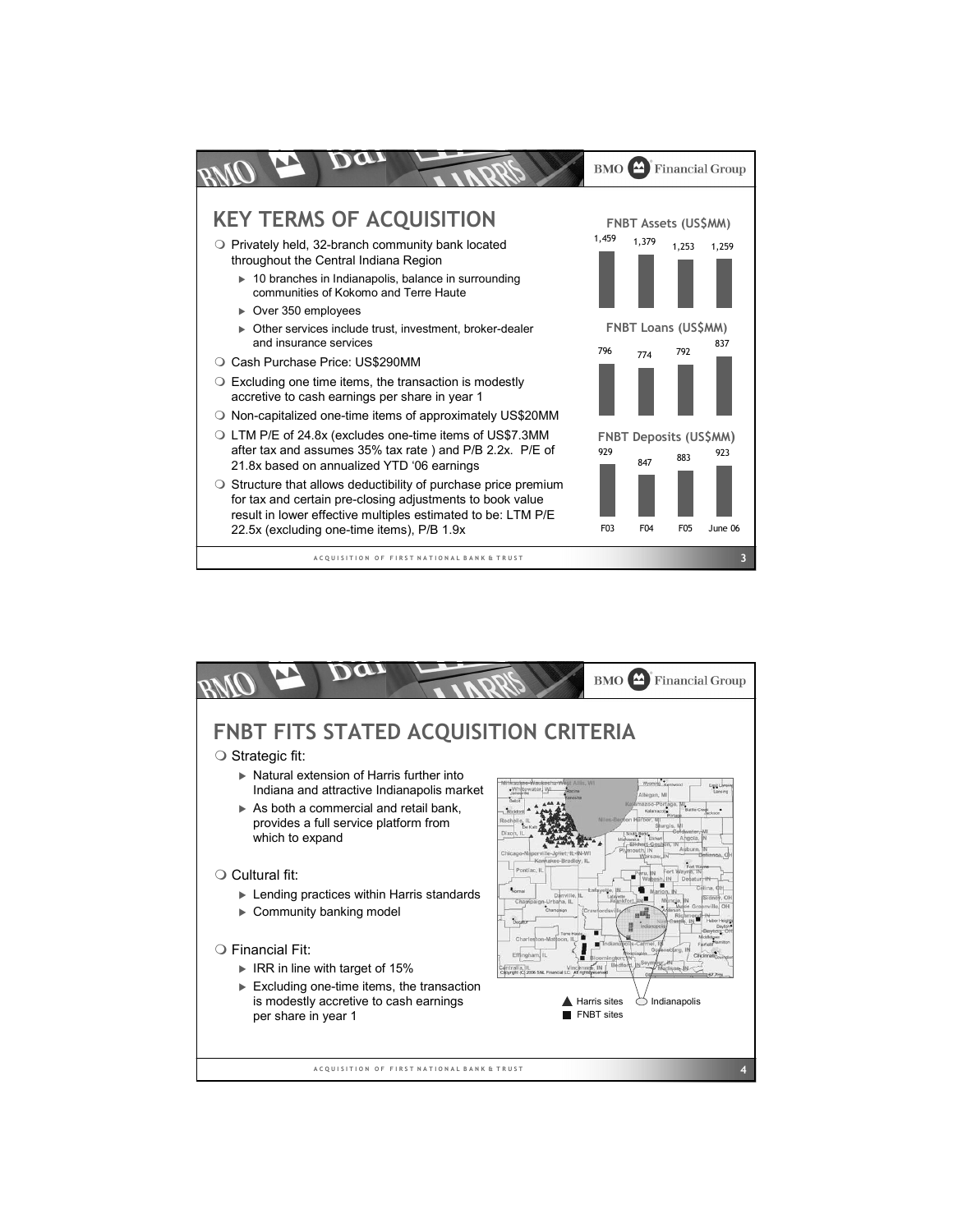

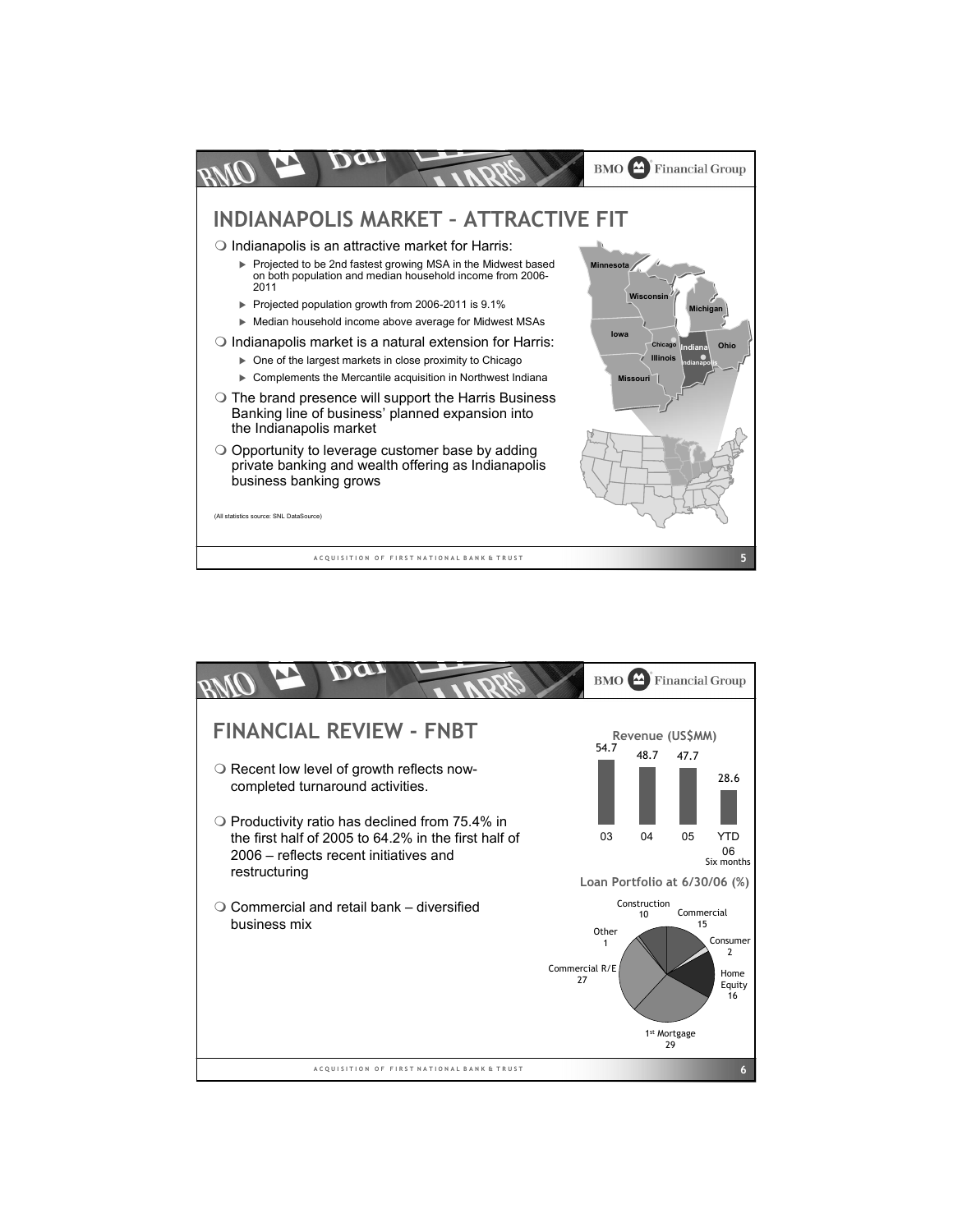